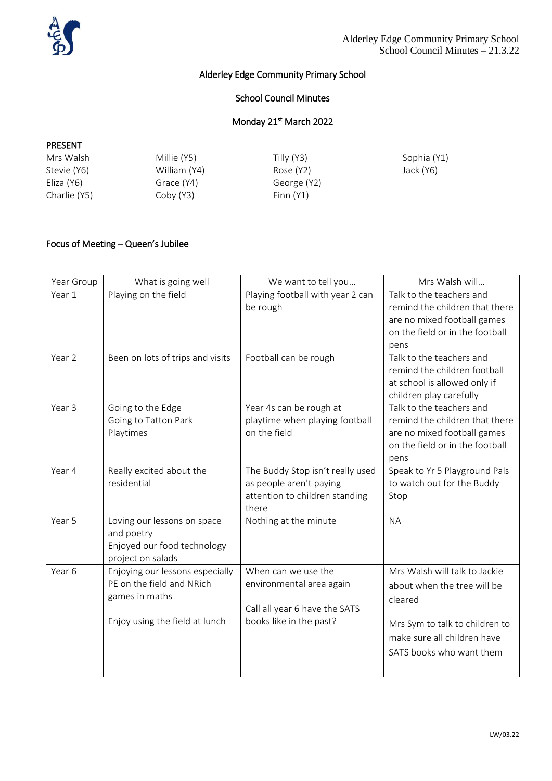

# Alderley Edge Community Primary School

### School Council Minutes

### Monday 21<sup>st</sup> March 2022

#### PRESENT

| Mrs Walsh    | Millie (Y5)  | Tilly (Y3)  | Sophia (Y1) |
|--------------|--------------|-------------|-------------|
| Stevie (Y6)  | William (Y4) | Rose (Y2)   | Jack (Y6)   |
| Eliza (Y6)   | Grace (Y4)   | George (Y2) |             |
| Charlie (Y5) | Coby (Y3)    | Finn $(Y1)$ |             |

# Focus of Meeting – Queen's Jubilee

| Year Group | What is going well                                                                                               | We want to tell you                                                                                         | Mrs Walsh will                                                                                                                                                       |
|------------|------------------------------------------------------------------------------------------------------------------|-------------------------------------------------------------------------------------------------------------|----------------------------------------------------------------------------------------------------------------------------------------------------------------------|
| Year 1     | Playing on the field                                                                                             | Playing football with year 2 can<br>be rough                                                                | Talk to the teachers and<br>remind the children that there<br>are no mixed football games<br>on the field or in the football<br>pens                                 |
| Year 2     | Been on lots of trips and visits                                                                                 | Football can be rough                                                                                       | Talk to the teachers and<br>remind the children football<br>at school is allowed only if<br>children play carefully                                                  |
| Year 3     | Going to the Edge<br>Going to Tatton Park<br>Playtimes                                                           | Year 4s can be rough at<br>playtime when playing football<br>on the field                                   | Talk to the teachers and<br>remind the children that there<br>are no mixed football games<br>on the field or in the football<br>pens                                 |
| Year 4     | Really excited about the<br>residential                                                                          | The Buddy Stop isn't really used<br>as people aren't paying<br>attention to children standing<br>there      | Speak to Yr 5 Playground Pals<br>to watch out for the Buddy<br>Stop                                                                                                  |
| Year 5     | Loving our lessons on space<br>and poetry<br>Enjoyed our food technology<br>project on salads                    | Nothing at the minute                                                                                       | <b>NA</b>                                                                                                                                                            |
| Year 6     | Enjoying our lessons especially<br>PE on the field and NRich<br>games in maths<br>Enjoy using the field at lunch | When can we use the<br>environmental area again<br>Call all year 6 have the SATS<br>books like in the past? | Mrs Walsh will talk to Jackie<br>about when the tree will be<br>cleared<br>Mrs Sym to talk to children to<br>make sure all children have<br>SATS books who want them |